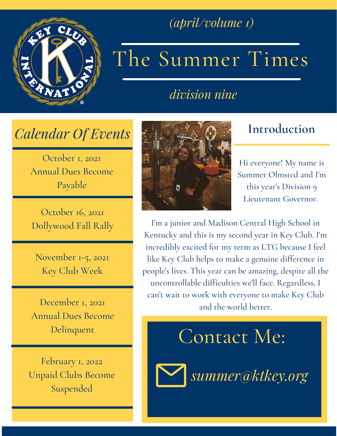

### *(april/volume 1)*

# The Summer Times

*division nine*

### *Calendar Of Events*

October 1, 2021 Annual Dues Become Payable

October 16, 2021 Dollywood Fall Rally

November 1-5, 2021 Key Club Week

December 1, 2021 Annual Dues Become Delinquent

February 1, 2022 Unpaid Clubs Become Suspended



### **Introduction**

Hi everyone! My name is Summer Olmsted and I'm this year's Division 9 Lieutenant Governor.

I'm a junior and Madison Central High School in Kentucky and this is my second year in Key Club. I'm incredibly excited for my term as LTG because I feel like Key Club helps to make a genuine difference in people's lives. This year can be amazing, despite all the uncontrollable difficulties we'll face. Regardless, I can't wait to work with everyone to make Key Club and the world better.

## Contact Me:



*summer@ktkey.org*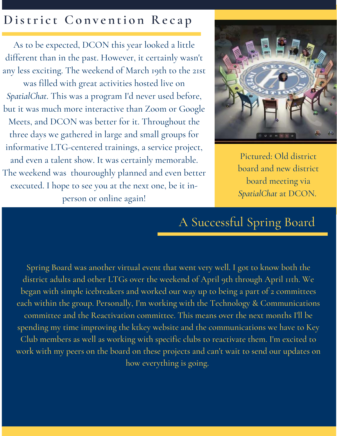### **D istri c t Co n v e n ti o n Re c a p**

As to be expected, DCON this year looked a little different than in the past. However, it certainly wasn't any less exciting. The weekend of March 19th to the 21st

was filled with great activities hosted live on *SpatialChat*. This was a program I'd never used before, but it was much more interactive than Zoom or Google Meets, and DCON was better for it. Throughout the three days we gathered in large and small groups for informative LTG-centered trainings, a service project, and even a talent show. It was certainly memorable. The weekend was thouroughly planned and even better executed. I hope to see you at the next one, be it inperson or online again!



Pictured: Old district board and new district board meeting via *SpatialChat* at DCON.

### A Successful Spring Board

Spring Board was another virtual event that went very well. I got to know both the district adults and other LTGs over the weekend of April 9th through April 11th. We began with simple icebreakers and worked our way up to being a part of 2 committees each within the group. Personally, I'm working with the Technology & Communications committee and the Reactivation committee. This means over the next months I'll be spending my time improving the ktkey website and the communications we have to Key Club members as well as working with specific clubs to reactivate them. I'm excited to work with my peers on the board on these projects and can't wait to send our updates on how everything is going.